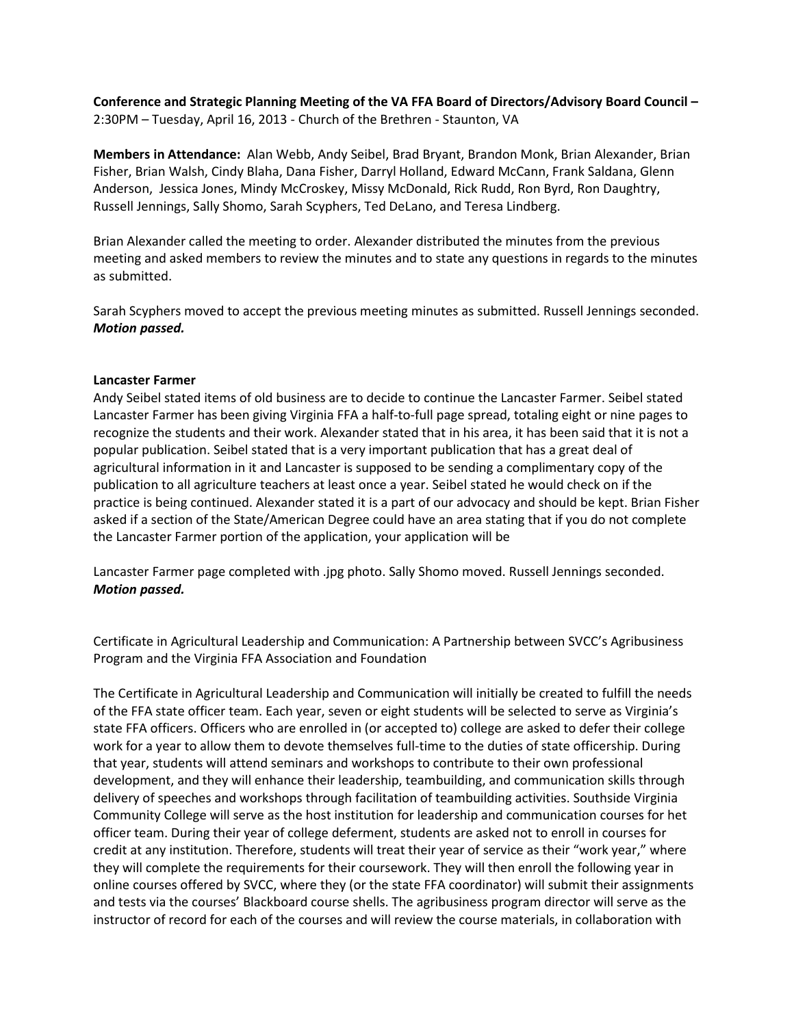**Conference and Strategic Planning Meeting of the VA FFA Board of Directors/Advisory Board Council –** 2:30PM – Tuesday, April 16, 2013 - Church of the Brethren - Staunton, VA

**Members in Attendance:** Alan Webb, Andy Seibel, Brad Bryant, Brandon Monk, Brian Alexander, Brian Fisher, Brian Walsh, Cindy Blaha, Dana Fisher, Darryl Holland, Edward McCann, Frank Saldana, Glenn Anderson, Jessica Jones, Mindy McCroskey, Missy McDonald, Rick Rudd, Ron Byrd, Ron Daughtry, Russell Jennings, Sally Shomo, Sarah Scyphers, Ted DeLano, and Teresa Lindberg.

Brian Alexander called the meeting to order. Alexander distributed the minutes from the previous meeting and asked members to review the minutes and to state any questions in regards to the minutes as submitted.

Sarah Scyphers moved to accept the previous meeting minutes as submitted. Russell Jennings seconded. *Motion passed.*

# **Lancaster Farmer**

Andy Seibel stated items of old business are to decide to continue the Lancaster Farmer. Seibel stated Lancaster Farmer has been giving Virginia FFA a half-to-full page spread, totaling eight or nine pages to recognize the students and their work. Alexander stated that in his area, it has been said that it is not a popular publication. Seibel stated that is a very important publication that has a great deal of agricultural information in it and Lancaster is supposed to be sending a complimentary copy of the publication to all agriculture teachers at least once a year. Seibel stated he would check on if the practice is being continued. Alexander stated it is a part of our advocacy and should be kept. Brian Fisher asked if a section of the State/American Degree could have an area stating that if you do not complete the Lancaster Farmer portion of the application, your application will be

Lancaster Farmer page completed with .jpg photo. Sally Shomo moved. Russell Jennings seconded. *Motion passed.*

Certificate in Agricultural Leadership and Communication: A Partnership between SVCC's Agribusiness Program and the Virginia FFA Association and Foundation

The Certificate in Agricultural Leadership and Communication will initially be created to fulfill the needs of the FFA state officer team. Each year, seven or eight students will be selected to serve as Virginia's state FFA officers. Officers who are enrolled in (or accepted to) college are asked to defer their college work for a year to allow them to devote themselves full-time to the duties of state officership. During that year, students will attend seminars and workshops to contribute to their own professional development, and they will enhance their leadership, teambuilding, and communication skills through delivery of speeches and workshops through facilitation of teambuilding activities. Southside Virginia Community College will serve as the host institution for leadership and communication courses for het officer team. During their year of college deferment, students are asked not to enroll in courses for credit at any institution. Therefore, students will treat their year of service as their "work year," where they will complete the requirements for their coursework. They will then enroll the following year in online courses offered by SVCC, where they (or the state FFA coordinator) will submit their assignments and tests via the courses' Blackboard course shells. The agribusiness program director will serve as the instructor of record for each of the courses and will review the course materials, in collaboration with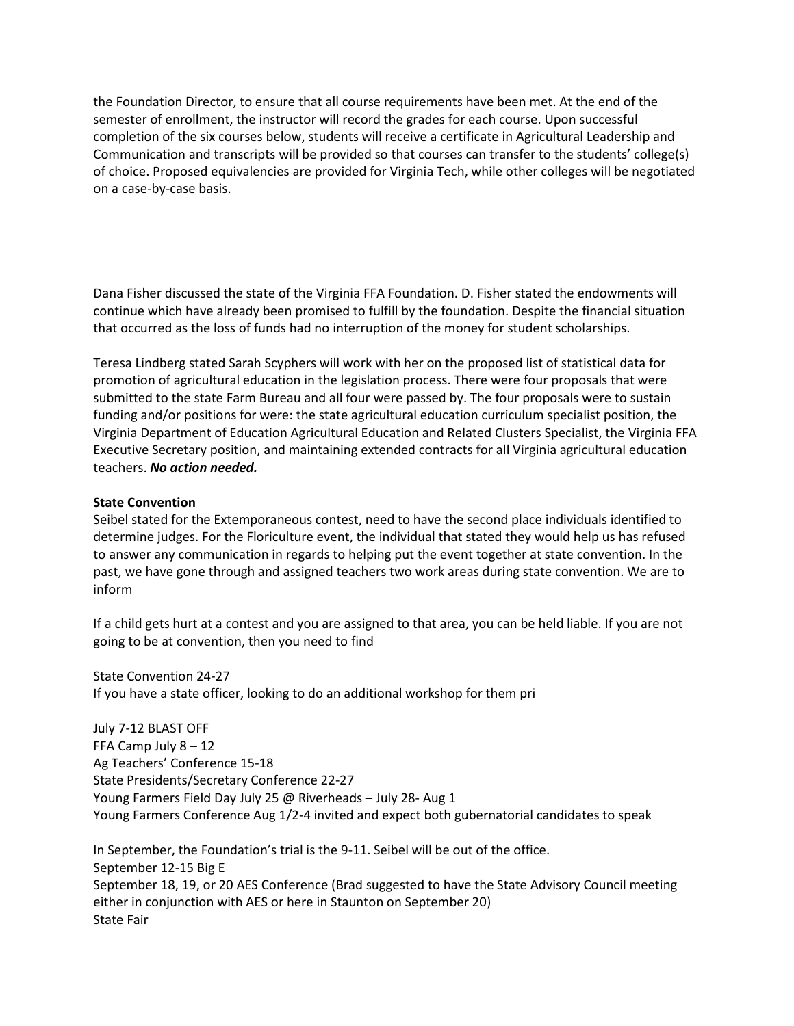the Foundation Director, to ensure that all course requirements have been met. At the end of the semester of enrollment, the instructor will record the grades for each course. Upon successful completion of the six courses below, students will receive a certificate in Agricultural Leadership and Communication and transcripts will be provided so that courses can transfer to the students' college(s) of choice. Proposed equivalencies are provided for Virginia Tech, while other colleges will be negotiated on a case-by-case basis.

Dana Fisher discussed the state of the Virginia FFA Foundation. D. Fisher stated the endowments will continue which have already been promised to fulfill by the foundation. Despite the financial situation that occurred as the loss of funds had no interruption of the money for student scholarships.

Teresa Lindberg stated Sarah Scyphers will work with her on the proposed list of statistical data for promotion of agricultural education in the legislation process. There were four proposals that were submitted to the state Farm Bureau and all four were passed by. The four proposals were to sustain funding and/or positions for were: the state agricultural education curriculum specialist position, the Virginia Department of Education Agricultural Education and Related Clusters Specialist, the Virginia FFA Executive Secretary position, and maintaining extended contracts for all Virginia agricultural education teachers. *No action needed.*

# **State Convention**

Seibel stated for the Extemporaneous contest, need to have the second place individuals identified to determine judges. For the Floriculture event, the individual that stated they would help us has refused to answer any communication in regards to helping put the event together at state convention. In the past, we have gone through and assigned teachers two work areas during state convention. We are to inform

If a child gets hurt at a contest and you are assigned to that area, you can be held liable. If you are not going to be at convention, then you need to find

State Convention 24-27 If you have a state officer, looking to do an additional workshop for them pri

July 7-12 BLAST OFF FFA Camp July 8 – 12 Ag Teachers' Conference 15-18 State Presidents/Secretary Conference 22-27 Young Farmers Field Day July 25 @ Riverheads – July 28- Aug 1 Young Farmers Conference Aug 1/2-4 invited and expect both gubernatorial candidates to speak

In September, the Foundation's trial is the 9-11. Seibel will be out of the office. September 12-15 Big E September 18, 19, or 20 AES Conference (Brad suggested to have the State Advisory Council meeting either in conjunction with AES or here in Staunton on September 20) State Fair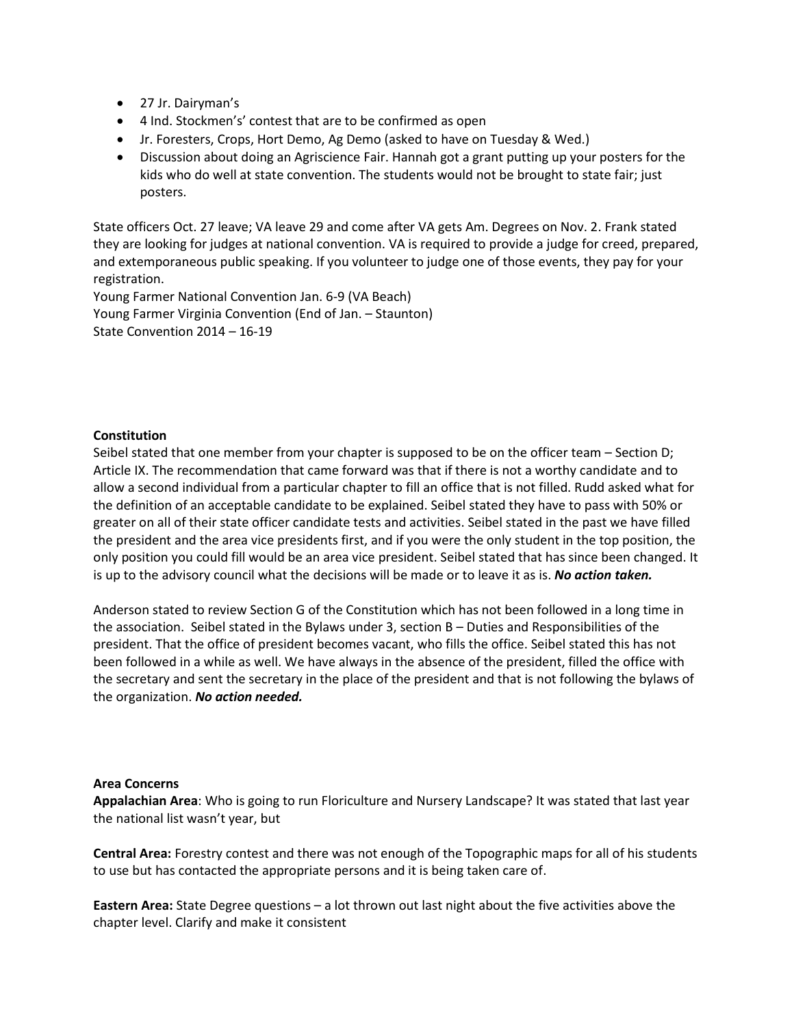- 27 Jr. Dairyman's
- 4 Ind. Stockmen's' contest that are to be confirmed as open
- Jr. Foresters, Crops, Hort Demo, Ag Demo (asked to have on Tuesday & Wed.)
- Discussion about doing an Agriscience Fair. Hannah got a grant putting up your posters for the kids who do well at state convention. The students would not be brought to state fair; just posters.

State officers Oct. 27 leave; VA leave 29 and come after VA gets Am. Degrees on Nov. 2. Frank stated they are looking for judges at national convention. VA is required to provide a judge for creed, prepared, and extemporaneous public speaking. If you volunteer to judge one of those events, they pay for your registration.

Young Farmer National Convention Jan. 6-9 (VA Beach) Young Farmer Virginia Convention (End of Jan. – Staunton) State Convention 2014 – 16-19

# **Constitution**

Seibel stated that one member from your chapter is supposed to be on the officer team – Section D; Article IX. The recommendation that came forward was that if there is not a worthy candidate and to allow a second individual from a particular chapter to fill an office that is not filled. Rudd asked what for the definition of an acceptable candidate to be explained. Seibel stated they have to pass with 50% or greater on all of their state officer candidate tests and activities. Seibel stated in the past we have filled the president and the area vice presidents first, and if you were the only student in the top position, the only position you could fill would be an area vice president. Seibel stated that has since been changed. It is up to the advisory council what the decisions will be made or to leave it as is. *No action taken.*

Anderson stated to review Section G of the Constitution which has not been followed in a long time in the association. Seibel stated in the Bylaws under 3, section B – Duties and Responsibilities of the president. That the office of president becomes vacant, who fills the office. Seibel stated this has not been followed in a while as well. We have always in the absence of the president, filled the office with the secretary and sent the secretary in the place of the president and that is not following the bylaws of the organization. *No action needed.*

## **Area Concerns**

**Appalachian Area**: Who is going to run Floriculture and Nursery Landscape? It was stated that last year the national list wasn't year, but

**Central Area:** Forestry contest and there was not enough of the Topographic maps for all of his students to use but has contacted the appropriate persons and it is being taken care of.

**Eastern Area:** State Degree questions – a lot thrown out last night about the five activities above the chapter level. Clarify and make it consistent